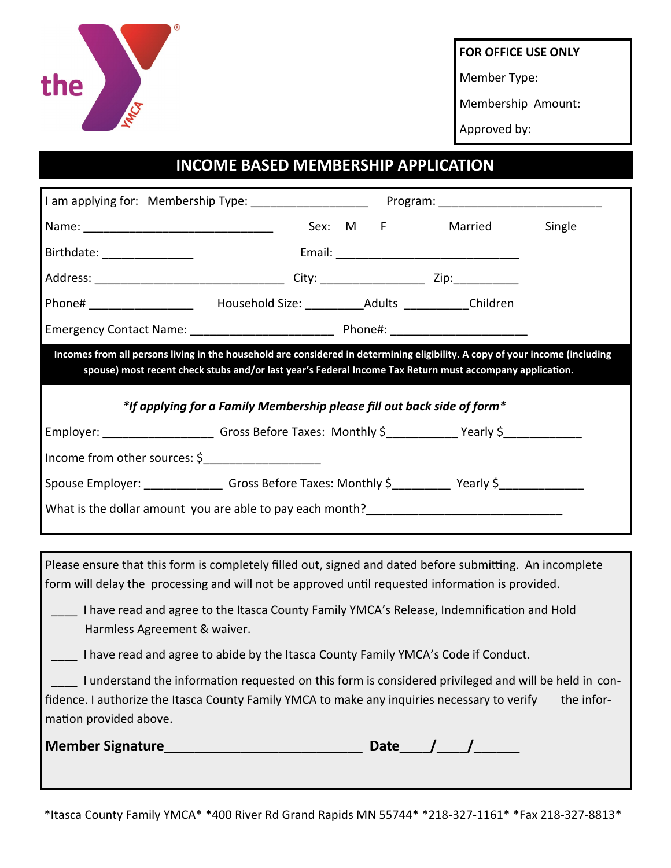

**FOR OFFICE USE ONLY**

Member Type:

Membership Amount:

Approved by:

## **INCOME BASED MEMBERSHIP APPLICATION**

|                                                                                                                                                                                                                                               |  | Sex: M F | Married                                                 | Single |  |  |  |
|-----------------------------------------------------------------------------------------------------------------------------------------------------------------------------------------------------------------------------------------------|--|----------|---------------------------------------------------------|--------|--|--|--|
| Birthdate: _________________                                                                                                                                                                                                                  |  |          |                                                         |        |  |  |  |
|                                                                                                                                                                                                                                               |  |          |                                                         |        |  |  |  |
| Phone# ___________________________________Household Size: ___________________Adults _____________Children                                                                                                                                     |  |          |                                                         |        |  |  |  |
|                                                                                                                                                                                                                                               |  |          |                                                         |        |  |  |  |
| Incomes from all persons living in the household are considered in determining eligibility. A copy of your income (including<br>spouse) most recent check stubs and/or last year's Federal Income Tax Return must accompany application.      |  |          |                                                         |        |  |  |  |
| *If applying for a Family Membership please fill out back side of form*                                                                                                                                                                       |  |          |                                                         |        |  |  |  |
| Employer: ________________________Gross Before Taxes: Monthly \$____________Yearly \$________________                                                                                                                                         |  |          |                                                         |        |  |  |  |
| Income from other sources: $\frac{1}{2}$ ____________________                                                                                                                                                                                 |  |          |                                                         |        |  |  |  |
| Spouse Employer: __________________Gross Before Taxes: Monthly \$____________Yearly \$________________                                                                                                                                        |  |          |                                                         |        |  |  |  |
| What is the dollar amount you are able to pay each month?                                                                                                                                                                                     |  |          |                                                         |        |  |  |  |
|                                                                                                                                                                                                                                               |  |          |                                                         |        |  |  |  |
| Please ensure that this form is completely filled out, signed and dated before submitting. An incomplete<br>form will delay the processing and will not be approved until requested information is provided.                                  |  |          |                                                         |        |  |  |  |
| I have read and agree to the Itasca County Family YMCA's Release, Indemnification and Hold<br>Harmless Agreement & waiver.                                                                                                                    |  |          |                                                         |        |  |  |  |
| I have read and agree to abide by the Itasca County Family YMCA's Code if Conduct.                                                                                                                                                            |  |          |                                                         |        |  |  |  |
| I understand the information requested on this form is considered privileged and will be held in con-<br>fidence. I authorize the Itasca County Family YMCA to make any inquiries necessary to verify<br>the infor-<br>mation provided above. |  |          |                                                         |        |  |  |  |
|                                                                                                                                                                                                                                               |  |          | Date $\_\_\_\_\_\_\_\_\_\_\_\_\_\_\_\_\_\_\_\_\_\_\_\_$ |        |  |  |  |

\*Itasca County Family YMCA\* \*400 River Rd Grand Rapids MN 55744\* \*218-327-1161\* \*Fax 218-327-8813\*